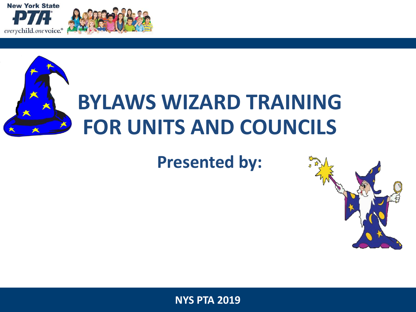





### **Presented by:**

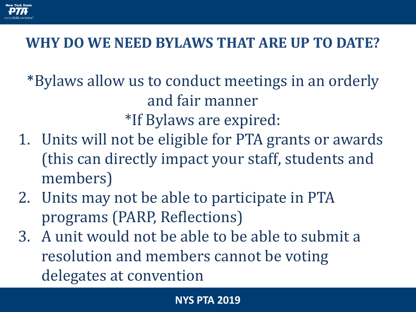

### **WHY DO WE NEED BYLAWS THAT ARE UP TO DATE?**

\*Bylaws allow us to conduct meetings in an orderly and fair manner \*If Bylaws are expired:

- 1. Units will not be eligible for PTA grants or awards (this can directly impact your staff, students and members)
- 2. Units may not be able to participate in PTA programs (PARP, Reflections)
- 3. A unit would not be able to be able to submit a resolution and members cannot be voting delegates at convention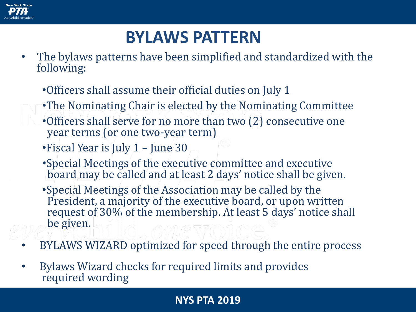

### **BYLAWS PATTERN**

- The bylaws patterns have been simplified and standardized with the following:
	- •Officers shall assume their official duties on July 1
	- •The Nominating Chair is elected by the Nominating Committee
	- •Officers shall serve for no more than two (2) consecutive one year terms (or one two-year term)
	- •Fiscal Year is July 1 June 30
	- •Special Meetings of the executive committee and executive board may be called and at least 2 days' notice shall be given.
	- •Special Meetings of the Association may be called by the President, a majority of the executive board, or upon written request of 30% of the membership. At least 5 days' notice shall be given.
- BYLAWS WIZARD optimized for speed through the entire process
- Bylaws Wizard checks for required limits and provides required wording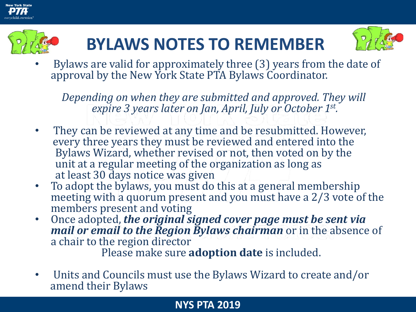



## **BYLAWS NOTES TO REMEMBER**



• Bylaws are valid for approximately three (3) years from the date of approval by the New York State PTA Bylaws Coordinator.

*Depending on when they are submitted and approved. They will expire 3 years later on Jan, April, July or October 1st .* 

- They can be reviewed at any time and be resubmitted. However, every three years they must be reviewed and entered into the Bylaws Wizard, whether revised or not, then voted on by the unit at a regular meeting of the organization as long as at least 30 days notice was given
- To adopt the bylaws, you must do this at a general membership meeting with a quorum present and you must have a 2/3 vote of the members present and voting
- Once adopted, *the original signed cover page must be sent via mail or email to the Region Bylaws chairman* or in the absence of a chair to the region director

Please make sure **adoption date** is included.

• Units and Councils must use the Bylaws Wizard to create and/or amend their Bylaws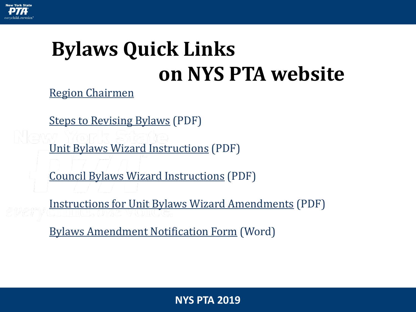<span id="page-4-0"></span>

# **Bylaws Quick Links on NYS PTA website**

[Region Chairmen](https://nyspta.org/home/pta-leaders/run-your-pta/bylawsprocedures/)

[Steps to Revising Bylaws](#page-4-0) (PDF)

[Unit Bylaws Wizard Instructions](http://nyspta.neric.org/pdf/YourPTA/Bylaws/Unit%20Bylaws%20EZ%20Instructions.pdf) (PDF)

[Council Bylaws Wizard Instructions](http://nyspta.neric.org/pdf/YourPTA/Bylaws/Council%20Bylaws%20EZ%20Instructions.pdf) (PDF)

[Instructions for Unit Bylaws Wizard Amendments](http://www.nyspta.org/pdf/YourPTA/Bylaws/Instructions%20for%20Unit%20%20Bylaws%20EZ%20Amendments.pdf) (PDF)

[Bylaws Amendment Notification Form](http://www.nyspta.org/pdf/YourPTA/Bylaws/Bylaws_Amendment_Notification_Form.doc) (Word)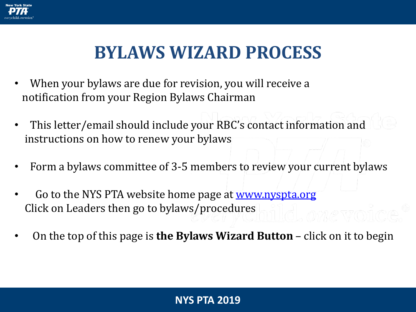

- When your bylaws are due for revision, you will receive a notification from your Region Bylaws Chairman
- This letter/email should include your RBC's contact information and instructions on how to renew your bylaws
- Form a bylaws committee of 3-5 members to review your current bylaws
- Go to the NYS PTA website home page at <u>www.nyspta.org</u> Click on Leaders then go to bylaws/procedures
- On the top of this page is **the Bylaws Wizard Button**  click on it to begin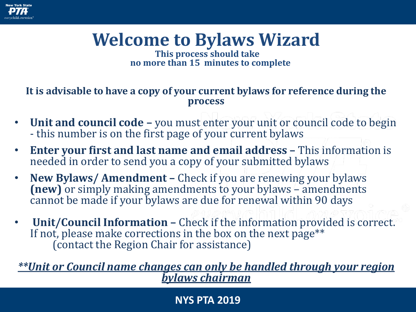

## **Welcome to Bylaws Wizard**

**This process should take no more than 15 minutes to complete**

#### **It is advisable to have a copy of your current bylaws for reference during the process**

- **Unit and council code –** you must enter your unit or council code to begin - this number is on the first page of your current bylaws
- **Enter your first and last name and email address –** This information is needed in order to send you a copy of your submitted bylaws
- **New Bylaws/ Amendment –** Check if you are renewing your bylaws **(new)** or simply making amendments to your bylaws – amendments cannot be made if your bylaws are due for renewal within 90 days
- **Unit/Council Information –** Check if the information provided is correct. If not, please make corrections in the box on the next page<sup>\*\*</sup> (contact the Region Chair for assistance)

*\*\*Unit or Council name changes can only be handled through your region bylaws chairman*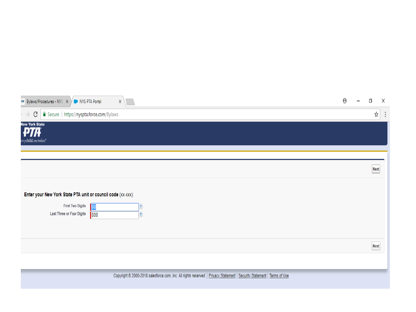| <b>PHK</b> Bylaws/Procedures - NYS X / NYS PTA Portal                                                                | x                                                                                                                       | Θ | Ō           | Χ              |
|----------------------------------------------------------------------------------------------------------------------|-------------------------------------------------------------------------------------------------------------------------|---|-------------|----------------|
| Secure   https://nyspta.force.com/Bylaws<br>C<br>$\rightarrow$                                                       |                                                                                                                         |   | ☆           | $\ddot{\cdot}$ |
| <b>New York State</b><br>DTA<br>erychild.onevoice.*                                                                  |                                                                                                                         |   |             |                |
|                                                                                                                      |                                                                                                                         |   | <b>Next</b> |                |
| Enter your New York State PTA unit or council code (XX-XXX):<br><b>First Two Digits</b><br>Last Three or Four Digits | 00<br>3<br> 000 <br>$\left( 2\right)$                                                                                   |   |             |                |
|                                                                                                                      |                                                                                                                         |   | Next        |                |
|                                                                                                                      | Copyright @ 2000-2018 salesforce.com, inc. All rights reserved.   Privacy Statement   Security Statement   Terms of Use |   |             |                |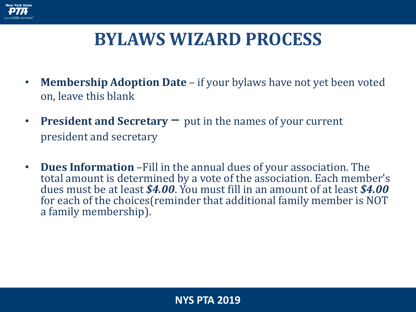

- **Membership Adoption Date**  if your bylaws have not yet been voted on, leave this blank
- **President and Secretary**  put in the names of your current president and secretary
- **Dues Information** –Fill in the annual dues of your association. The total amount is determined by a vote of the association. Each member's dues must be at least *\$4.00*. You must fill in an amount of at least *\$4.00* for each of the choices(reminder that additional family member is NOT a family membership).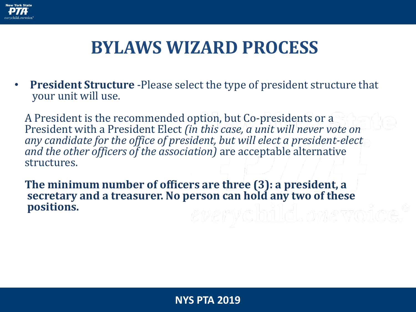

• **President Structure** -Please select the type of president structure that your unit will use.

A President is the recommended option, but Co-presidents or a President with a President Elect *(in this case, a unit will never vote on any candidate for the office of president, but will elect a president-elect and the other officers of the association)* are acceptable alternative structures.

**The minimum number of officers are three (3): a president, a secretary and a treasurer. No person can hold any two of these positions.**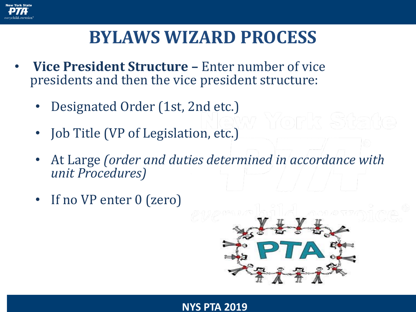

- **Vice President Structure –** Enter number of vice presidents and then the vice president structure:
	- Designated Order (1st, 2nd etc.)
	- Job Title (VP of Legislation, etc.)
	- At Large *(order and duties determined in accordance with unit Procedures)*
	- If no VP enter 0 (zero)

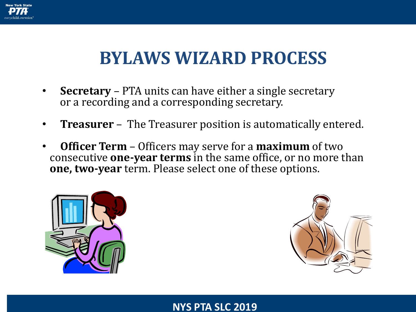

- **Secretary** PTA units can have either a single secretary or a recording and a corresponding secretary.
- **Treasurer**  The Treasurer position is automatically entered.
- **Officer Term**  Officers may serve for a **maximum** of two consecutive **one-year terms** in the same office, or no more than **one, two-year** term. Please select one of these options.





#### **NYS PTA SLC 2019**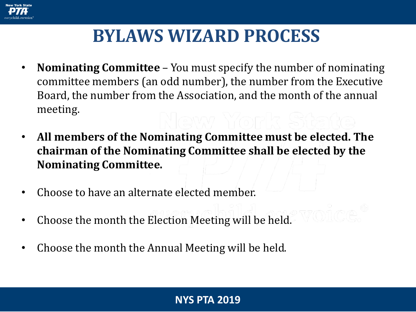

- **Nominating Committee** You must specify the number of nominating committee members (an odd number), the number from the Executive Board, the number from the Association, and the month of the annual meeting.
- **All members of the Nominating Committee must be elected. The chairman of the Nominating Committee shall be elected by the Nominating Committee.**
- Choose to have an alternate elected member.
- Choose the month the Election Meeting will be held.
- Choose the month the Annual Meeting will be held.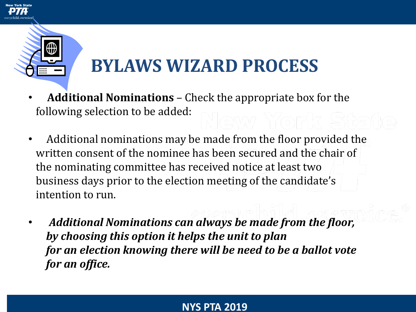

- **Additional Nominations**  Check the appropriate box for the following selection to be added:
- Additional nominations may be made from the floor provided the written consent of the nominee has been secured and the chair of the nominating committee has received notice at least two business days prior to the election meeting of the candidate's intention to run.
- *Additional Nominations can always be made from the floor, by choosing this option it helps the unit to plan for an election knowing there will be need to be a ballot vote for an office.*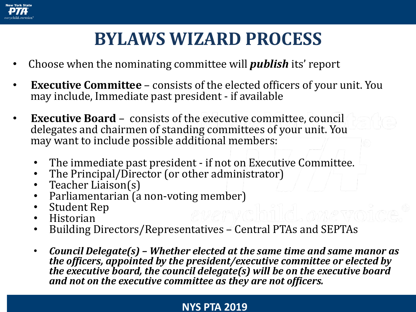

- Choose when the nominating committee will *publish* its' report
- **Executive Committee** consists of the elected officers of your unit. You may include, Immediate past president - if available
- **Executive Board** consists of the executive committee, council delegates and chairmen of standing committees of your unit. You may want to include possible additional members:
	- The immediate past president if not on Executive Committee.
	- The Principal/Director (or other administrator)
	- Teacher Liaison(s)
	- Parliamentarian (a non-voting member)
	- Student Rep
	- Historian
	- Building Directors/Representatives Central PTAs and SEPTAs
	- *Council Delegate(s) – Whether elected at the same time and same manor as the officers, appointed by the president/executive committee or elected by the executive board, the council delegate(s) will be on the executive board and not on the executive committee as they are not officers.*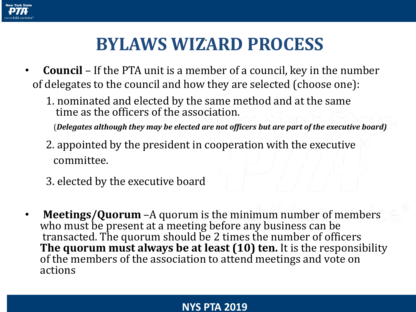

- **Council** If the PTA unit is a member of a council, key in the number of delegates to the council and how they are selected (choose one):
	- 1. nominated and elected by the same method and at the same time as the officers of the association.

(*Delegates although they may be elected are not officers but are part of the executive board)*

- 2. appointed by the president in cooperation with the executive committee.
- 3. elected by the executive board
- **Meetings/Quorum** –A quorum is the minimum number of members who must be present at a meeting before any business can be transacted. The quorum should be 2 times the number of officers **The quorum must always be at least (10) ten.** It is the responsibility of the members of the association to attend meetings and vote on actions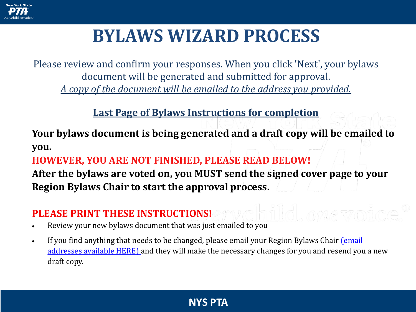

Please review and confirm your responses. When you click 'Next', your bylaws document will be generated and submitted for approval. *A copy of the document will be emailed to the address you provided.*

#### **Last Page of Bylaws Instructions for completion**

**Your bylaws document is being generated and a draft copy will be emailed to you.**

#### **HOWEVER, YOU ARE NOT FINISHED, PLEASE READ BELOW!**

**After the bylaws are voted on, you MUST send the signed cover page to your Region Bylaws Chair to start the approval process.**

#### **PLEASE PRINT THESE INSTRUCTIONS!**

- Review your new bylaws document that was just emailed to you
- [If you find anything that needs to be changed, please email your Region Bylaws Chair](http://nyspta.org/home/pta-leaders/run-your-pta/bylawsprocedures) (email addresses available HERE) and they will make the necessary changes for you and resend you a new draft copy.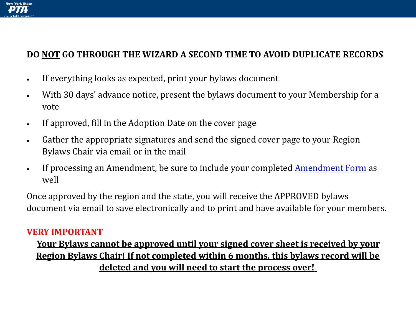

#### **DO NOT GO THROUGH THE WIZARD A SECOND TIME TO AVOID DUPLICATE RECORDS**

- If everything looks as expected, print your bylaws document
- With 30 days' advance notice, present the bylaws document to your Membership for a vote
- If approved, fill in the Adoption Date on the cover page
- Gather the appropriate signatures and send the signed cover page to your Region Bylaws Chair via email or in the mail
- If processing an Amendment, be sure to include your completed [Amendment Form](https://nyspta.org/wp-content/uploads/2018/04/Unit-Bylaws-Amendment-2018-1.pdf) as well

Once approved by the region and the state, you will receive the APPROVED bylaws document via email to save electronically and to print and have available for your members.

#### **VERY IMPORTANT**

#### **Your Bylaws cannot be approved until your signed cover sheet is received by your Region Bylaws Chair! If not completed within 6 months, this bylaws record will be deleted and you will need to start the process over!**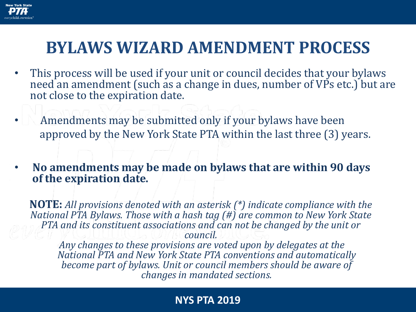

### **BYLAWS WIZARD AMENDMENT PROCESS**

- This process will be used if your unit or council decides that your bylaws need an amendment (such as a change in dues, number of VPs etc.) but are not close to the expiration date.
- Amendments may be submitted only if your bylaws have been approved by the New York State PTA within the last three (3) years.
- **No amendments may be made on bylaws that are within 90 days of the expiration date.**

**NOTE:** *All provisions denoted with an asterisk (\*) indicate compliance with the National PTA Bylaws. Those with a hash tag (#) are common to New York State PTA and its constituent associations and can not be changed by the unit or council. Any changes to these provisions are voted upon by delegates at the* 

*National PTA and New York State PTA conventions and automatically become part of bylaws. Unit or council members should be aware of changes in mandated sections.*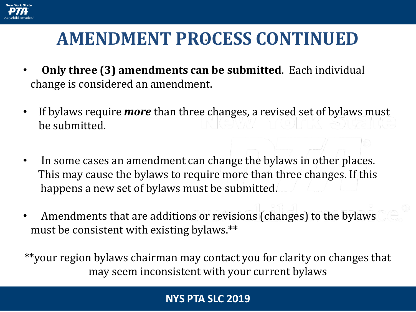

### **AMENDMENT PROCESS CONTINUED** .

- **Only three (3) amendments can be submitted**. Each individual change is considered an amendment.
- If bylaws require *more* than three changes, a revised set of bylaws must be submitted.
- In some cases an amendment can change the bylaws in other places. This may cause the bylaws to require more than three changes. If this happens a new set of bylaws must be submitted.
- Amendments that are additions or revisions (changes) to the bylaws must be consistent with existing bylaws.\*\*

\*\*your region bylaws chairman may contact you for clarity on changes that may seem inconsistent with your current bylaws

#### **NYS PTA SLC 2019**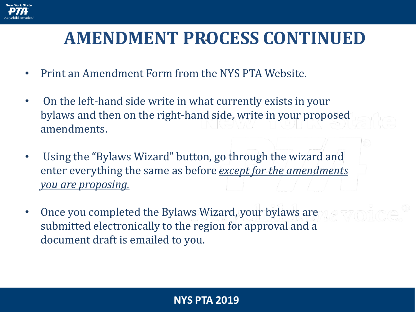

### **AMENDMENT PROCESS CONTINUED** .

- Print an Amendment Form from the NYS PTA Website.
- On the left-hand side write in what currently exists in your bylaws and then on the right-hand side, write in your proposed amendments.
- Using the "Bylaws Wizard" button, go through the wizard and enter everything the same as before *except for the amendments you are proposing.*
- Once you completed the Bylaws Wizard, your bylaws are submitted electronically to the region for approval and a document draft is emailed to you.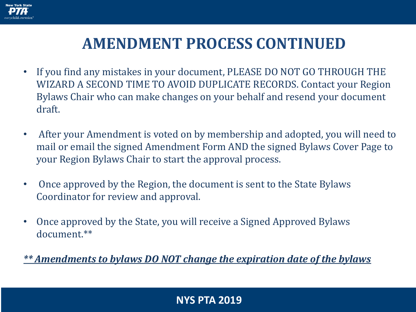

### **AMENDMENT PROCESS CONTINUED**

- If you find any mistakes in your document, PLEASE DO NOT GO THROUGH THE WIZARD A SECOND TIME TO AVOID DUPLICATE RECORDS. Contact your Region Bylaws Chair who can make changes on your behalf and resend your document draft.
- After your Amendment is voted on by membership and adopted, you will need to mail or email the signed Amendment Form AND the signed Bylaws Cover Page to your Region Bylaws Chair to start the approval process.
- Once approved by the Region, the document is sent to the State Bylaws Coordinator for review and approval.
- Once approved by the State, you will receive a Signed Approved Bylaws document.\*\*

*\*\* Amendments to bylaws DO NOT change the expiration date of the bylaws*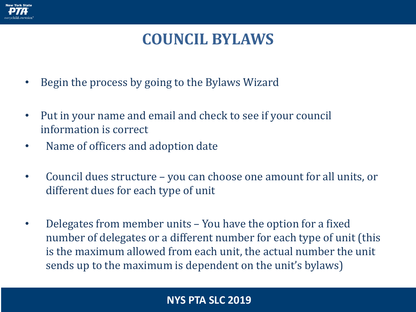

### **COUNCIL BYLAWS**

- Begin the process by going to the Bylaws Wizard
- Put in your name and email and check to see if your council information is correct
- Name of officers and adoption date
- Council dues structure you can choose one amount for all units, or different dues for each type of unit
- Delegates from member units You have the option for a fixed number of delegates or a different number for each type of unit (this is the maximum allowed from each unit, the actual number the unit sends up to the maximum is dependent on the unit's bylaws)

#### **NYS PTA SLC 2019**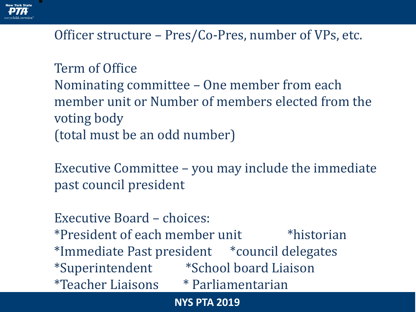

### Officer structure – Pres/Co-Pres, number of VPs, etc.

Term of Office Nominating committee – One member from each member unit or Number of members elected from the voting body (total must be an odd number)

Executive Committee – you may include the immediate past council president

Executive Board – choices: \*President of each member unit \*historian \*Immediate Past president \*council delegates \*Superintendent \*School board Liaison \*Teacher Liaisons \* Parliamentarian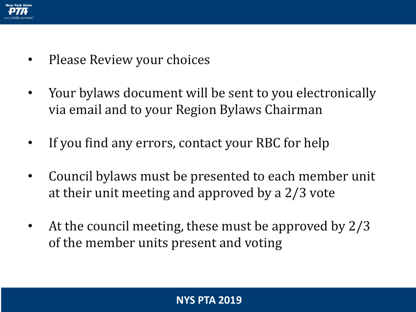

- Please Review your choices
- Your bylaws document will be sent to you electronically via email and to your Region Bylaws Chairman
- If you find any errors, contact your RBC for help
- Council bylaws must be presented to each member unit at their unit meeting and approved by a 2/3 vote
- At the council meeting, these must be approved by 2/3 of the member units present and voting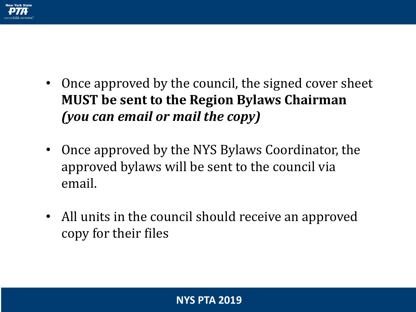

- Once approved by the council, the signed cover sheet **MUST be sent to the Region Bylaws Chairman**  *(you can email or mail the copy)*
- Once approved by the NYS Bylaws Coordinator, the approved bylaws will be sent to the council via email.
- All units in the council should receive an approved copy for their files